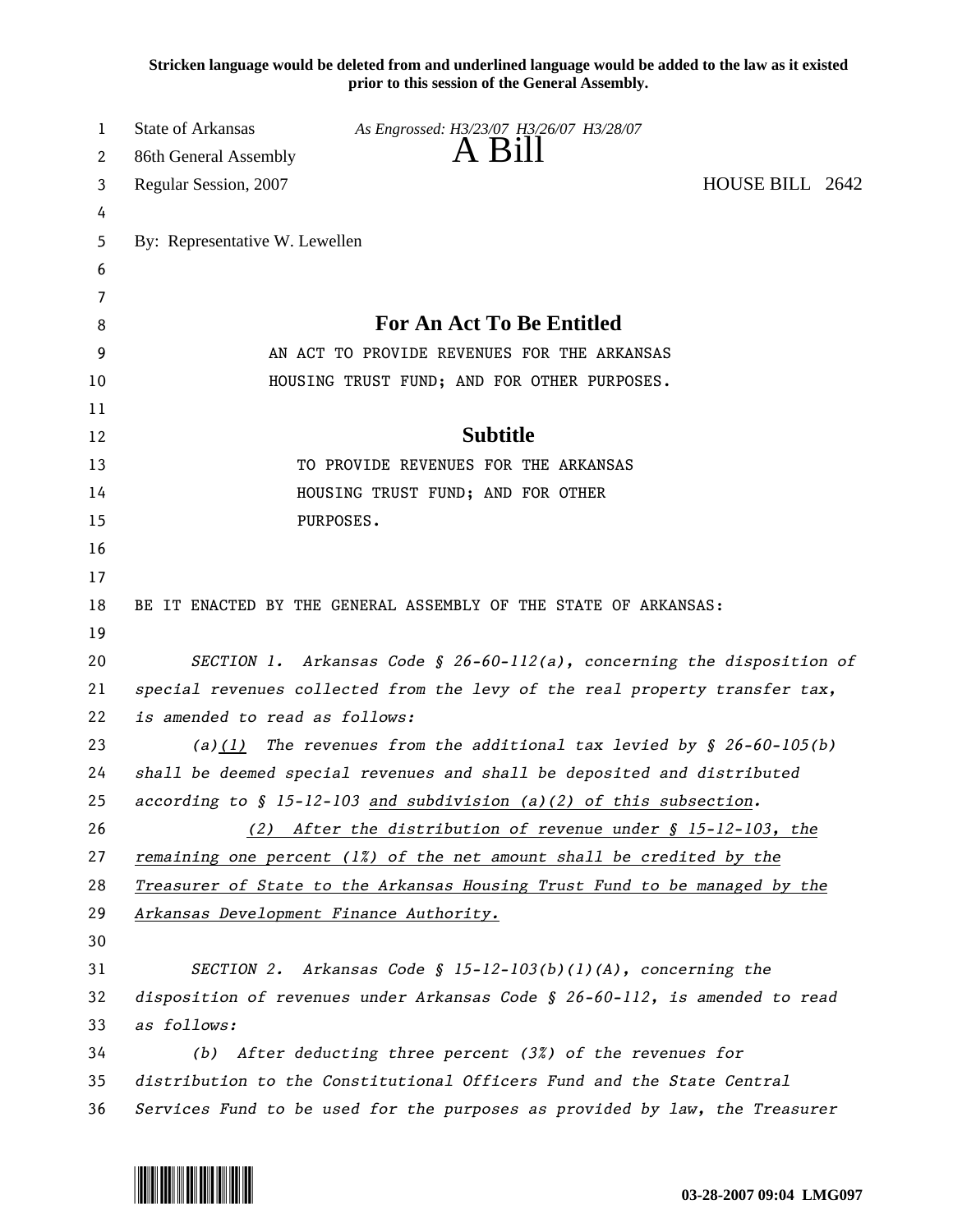**Stricken language would be deleted from and underlined language would be added to the law as it existed prior to this session of the General Assembly.**

| 1        | State of Arkansas<br>As Engrossed: H3/23/07 H3/26/07 H3/28/07                  |                 |
|----------|--------------------------------------------------------------------------------|-----------------|
| 2        | A B1ll<br>86th General Assembly                                                |                 |
| 3        | Regular Session, 2007                                                          | HOUSE BILL 2642 |
| 4        |                                                                                |                 |
| 5        | By: Representative W. Lewellen                                                 |                 |
| 6        |                                                                                |                 |
| 7        |                                                                                |                 |
| 8        | <b>For An Act To Be Entitled</b>                                               |                 |
| 9        | AN ACT TO PROVIDE REVENUES FOR THE ARKANSAS                                    |                 |
| 10       | HOUSING TRUST FUND; AND FOR OTHER PURPOSES.                                    |                 |
| 11       |                                                                                |                 |
| 12       | <b>Subtitle</b>                                                                |                 |
| 13       | TO PROVIDE REVENUES FOR THE ARKANSAS                                           |                 |
| 14       | HOUSING TRUST FUND; AND FOR OTHER                                              |                 |
| 15       | PURPOSES.                                                                      |                 |
| 16       |                                                                                |                 |
| 17       |                                                                                |                 |
| 18<br>19 | BE IT ENACTED BY THE GENERAL ASSEMBLY OF THE STATE OF ARKANSAS:                |                 |
| 20       | SECTION 1. Arkansas Code § 26-60-112(a), concerning the disposition of         |                 |
| 21       | special revenues collected from the levy of the real property transfer tax,    |                 |
| 22       | is amended to read as follows:                                                 |                 |
| 23       | The revenues from the additional tax levied by $\S$ 26-60-105(b)<br>(a)(1)     |                 |
| 24       | shall be deemed special revenues and shall be deposited and distributed        |                 |
| 25       | according to $\S$ 15-12-103 and subdivision (a)(2) of this subsection.         |                 |
| 26       | After the distribution of revenue under § 15-12-103, the<br>(2)                |                 |
| 27       | remaining one percent $(1\%)$ of the net amount shall be credited by the       |                 |
| 28       | Treasurer of State to the Arkansas Housing Trust Fund to be managed by the     |                 |
| 29       | Arkansas Development Finance Authority.                                        |                 |
| 30       |                                                                                |                 |
| 31       | SECTION 2. Arkansas Code § $15-12-103(b)(1)(A)$ , concerning the               |                 |
| 32       | disposition of revenues under Arkansas Code $\S$ 26-60-112, is amended to read |                 |
| 33       | as follows:                                                                    |                 |
| 34       | (b) After deducting three percent (3%) of the revenues for                     |                 |
| 35       | distribution to the Constitutional Officers Fund and the State Central         |                 |
| 36       | Services Fund to be used for the purposes as provided by law, the Treasurer    |                 |
|          |                                                                                |                 |